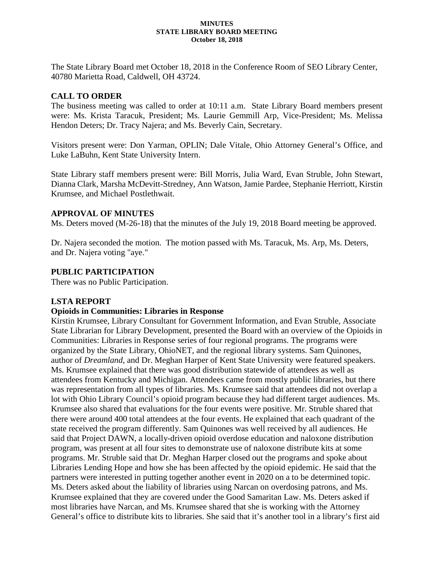#### **MINUTES STATE LIBRARY BOARD MEETING October 18, 2018**

The State Library Board met October 18, 2018 in the Conference Room of SEO Library Center, 40780 Marietta Road, Caldwell, OH 43724.

## **CALL TO ORDER**

The business meeting was called to order at 10:11 a.m. State Library Board members present were: Ms. Krista Taracuk, President; Ms. Laurie Gemmill Arp, Vice-President; Ms. Melissa Hendon Deters; Dr. Tracy Najera; and Ms. Beverly Cain, Secretary.

Visitors present were: Don Yarman, OPLIN; Dale Vitale, Ohio Attorney General's Office, and Luke LaBuhn, Kent State University Intern.

State Library staff members present were: Bill Morris, Julia Ward, Evan Struble, John Stewart, Dianna Clark, Marsha McDevitt-Stredney, Ann Watson, Jamie Pardee, Stephanie Herriott, Kirstin Krumsee, and Michael Postlethwait.

### **APPROVAL OF MINUTES**

Ms. Deters moved (M-26-18) that the minutes of the July 19, 2018 Board meeting be approved.

Dr. Najera seconded the motion. The motion passed with Ms. Taracuk, Ms. Arp, Ms. Deters, and Dr. Najera voting "aye."

### **PUBLIC PARTICIPATION**

There was no Public Participation.

# **LSTA REPORT**

### **Opioids in Communities: Libraries in Response**

Kirstin Krumsee, Library Consultant for Government Information, and Evan Struble, Associate State Librarian for Library Development, presented the Board with an overview of the Opioids in Communities: Libraries in Response series of four regional programs. The programs were organized by the State Library, OhioNET, and the regional library systems. Sam Quinones, author of *Dreamland*, and Dr. Meghan Harper of Kent State University were featured speakers. Ms. Krumsee explained that there was good distribution statewide of attendees as well as attendees from Kentucky and Michigan. Attendees came from mostly public libraries, but there was representation from all types of libraries. Ms. Krumsee said that attendees did not overlap a lot with Ohio Library Council's opioid program because they had different target audiences. Ms. Krumsee also shared that evaluations for the four events were positive. Mr. Struble shared that there were around 400 total attendees at the four events. He explained that each quadrant of the state received the program differently. Sam Quinones was well received by all audiences. He said that Project DAWN, a locally-driven opioid overdose education and naloxone distribution program, was present at all four sites to demonstrate use of naloxone distribute kits at some programs. Mr. Struble said that Dr. Meghan Harper closed out the programs and spoke about Libraries Lending Hope and how she has been affected by the opioid epidemic. He said that the partners were interested in putting together another event in 2020 on a to be determined topic. Ms. Deters asked about the liability of libraries using Narcan on overdosing patrons, and Ms. Krumsee explained that they are covered under the Good Samaritan Law. Ms. Deters asked if most libraries have Narcan, and Ms. Krumsee shared that she is working with the Attorney General's office to distribute kits to libraries. She said that it's another tool in a library's first aid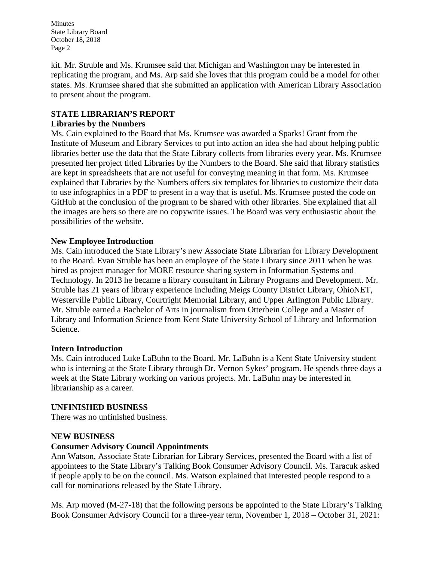Minutes State Library Board October 18, 2018 Page 2

kit. Mr. Struble and Ms. Krumsee said that Michigan and Washington may be interested in replicating the program, and Ms. Arp said she loves that this program could be a model for other states. Ms. Krumsee shared that she submitted an application with American Library Association to present about the program.

# **STATE LIBRARIAN'S REPORT**

## **Libraries by the Numbers**

Ms. Cain explained to the Board that Ms. Krumsee was awarded a Sparks! Grant from the Institute of Museum and Library Services to put into action an idea she had about helping public libraries better use the data that the State Library collects from libraries every year. Ms. Krumsee presented her project titled Libraries by the Numbers to the Board. She said that library statistics are kept in spreadsheets that are not useful for conveying meaning in that form. Ms. Krumsee explained that Libraries by the Numbers offers six templates for libraries to customize their data to use infographics in a PDF to present in a way that is useful. Ms. Krumsee posted the code on GitHub at the conclusion of the program to be shared with other libraries. She explained that all the images are hers so there are no copywrite issues. The Board was very enthusiastic about the possibilities of the website.

# **New Employee Introduction**

Ms. Cain introduced the State Library's new Associate State Librarian for Library Development to the Board. Evan Struble has been an employee of the State Library since 2011 when he was hired as project manager for MORE resource sharing system in Information Systems and Technology. In 2013 he became a library consultant in Library Programs and Development. Mr. Struble has 21 years of library experience including Meigs County District Library, OhioNET, Westerville Public Library, Courtright Memorial Library, and Upper Arlington Public Library. Mr. Struble earned a Bachelor of Arts in journalism from Otterbein College and a Master of Library and Information Science from Kent State University School of Library and Information Science.

### **Intern Introduction**

Ms. Cain introduced Luke LaBuhn to the Board. Mr. LaBuhn is a Kent State University student who is interning at the State Library through Dr. Vernon Sykes' program. He spends three days a week at the State Library working on various projects. Mr. LaBuhn may be interested in librarianship as a career.

# **UNFINISHED BUSINESS**

There was no unfinished business.

### **NEW BUSINESS**

### **Consumer Advisory Council Appointments**

Ann Watson, Associate State Librarian for Library Services, presented the Board with a list of appointees to the State Library's Talking Book Consumer Advisory Council. Ms. Taracuk asked if people apply to be on the council. Ms. Watson explained that interested people respond to a call for nominations released by the State Library.

Ms. Arp moved (M-27-18) that the following persons be appointed to the State Library's Talking Book Consumer Advisory Council for a three-year term, November 1, 2018 – October 31, 2021: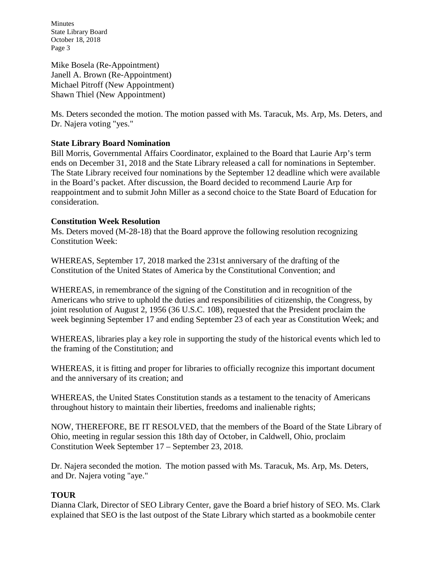Minutes State Library Board October 18, 2018 Page 3

Mike Bosela (Re-Appointment) Janell A. Brown (Re-Appointment) Michael Pitroff (New Appointment) Shawn Thiel (New Appointment)

Ms. Deters seconded the motion. The motion passed with Ms. Taracuk, Ms. Arp, Ms. Deters, and Dr. Najera voting "yes."

# **State Library Board Nomination**

Bill Morris, Governmental Affairs Coordinator, explained to the Board that Laurie Arp's term ends on December 31, 2018 and the State Library released a call for nominations in September. The State Library received four nominations by the September 12 deadline which were available in the Board's packet. After discussion, the Board decided to recommend Laurie Arp for reappointment and to submit John Miller as a second choice to the State Board of Education for consideration.

### **Constitution Week Resolution**

Ms. Deters moved (M-28-18) that the Board approve the following resolution recognizing Constitution Week:

WHEREAS, September 17, 2018 marked the 231st anniversary of the drafting of the Constitution of the United States of America by the Constitutional Convention; and

WHEREAS, in remembrance of the signing of the Constitution and in recognition of the Americans who strive to uphold the duties and responsibilities of citizenship, the Congress, by joint resolution of August 2, 1956 (36 U.S.C. 108), requested that the President proclaim the week beginning September 17 and ending September 23 of each year as Constitution Week; and

WHEREAS, libraries play a key role in supporting the study of the historical events which led to the framing of the Constitution; and

WHEREAS, it is fitting and proper for libraries to officially recognize this important document and the anniversary of its creation; and

WHEREAS, the United States Constitution stands as a testament to the tenacity of Americans throughout history to maintain their liberties, freedoms and inalienable rights;

NOW, THEREFORE, BE IT RESOLVED, that the members of the Board of the State Library of Ohio, meeting in regular session this 18th day of October, in Caldwell, Ohio, proclaim Constitution Week September 17 – September 23, 2018.

Dr. Najera seconded the motion. The motion passed with Ms. Taracuk, Ms. Arp, Ms. Deters, and Dr. Najera voting "aye."

### **TOUR**

Dianna Clark, Director of SEO Library Center, gave the Board a brief history of SEO. Ms. Clark explained that SEO is the last outpost of the State Library which started as a bookmobile center